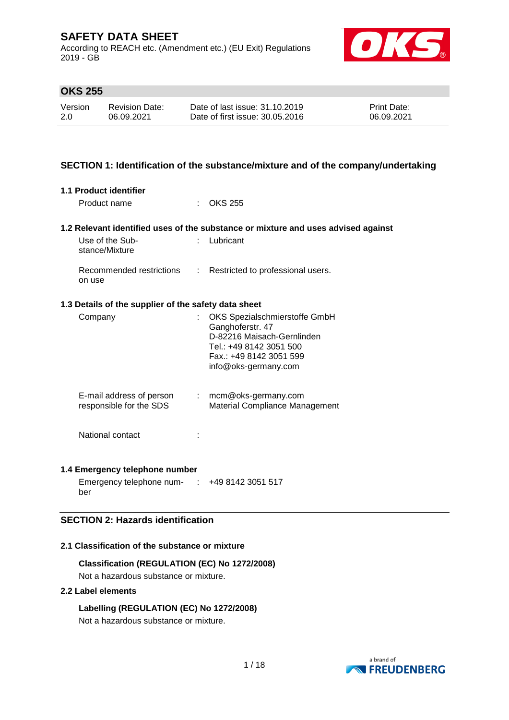According to REACH etc. (Amendment etc.) (EU Exit) Regulations 2019 - GB



## **OKS 255**

| Version | <b>Revision Date:</b> | Date of last issue: 31.10.2019  | <b>Print Date:</b> |
|---------|-----------------------|---------------------------------|--------------------|
| 2.0     | 06.09.2021            | Date of first issue: 30.05.2016 | 06.09.2021         |

## **SECTION 1: Identification of the substance/mixture and of the company/undertaking**

## **1.1 Product identifier**

Product name : OKS 255

#### **1.2 Relevant identified uses of the substance or mixture and uses advised against**

| Use of the Sub-<br>stance/Mixture  | : Lubricant                         |
|------------------------------------|-------------------------------------|
| Recommended restrictions<br>on use | : Restricted to professional users. |

#### **1.3 Details of the supplier of the safety data sheet**

| Company                                             |    | OKS Spezialschmierstoffe GmbH<br>Ganghoferstr. 47<br>D-82216 Maisach-Gernlinden<br>Tel.: +49 8142 3051 500<br>Fax.: +49 8142 3051 599<br>info@oks-germany.com |
|-----------------------------------------------------|----|---------------------------------------------------------------------------------------------------------------------------------------------------------------|
| E-mail address of person<br>responsible for the SDS | ÷. | mcm@oks-germany.com<br>Material Compliance Management                                                                                                         |
| National contact                                    |    |                                                                                                                                                               |

#### **1.4 Emergency telephone number**

Emergency telephone num-: +49 8142 3051 517 ber

## **SECTION 2: Hazards identification**

## **2.1 Classification of the substance or mixture**

**Classification (REGULATION (EC) No 1272/2008)**

Not a hazardous substance or mixture.

## **2.2 Label elements**

# **Labelling (REGULATION (EC) No 1272/2008)**

Not a hazardous substance or mixture.

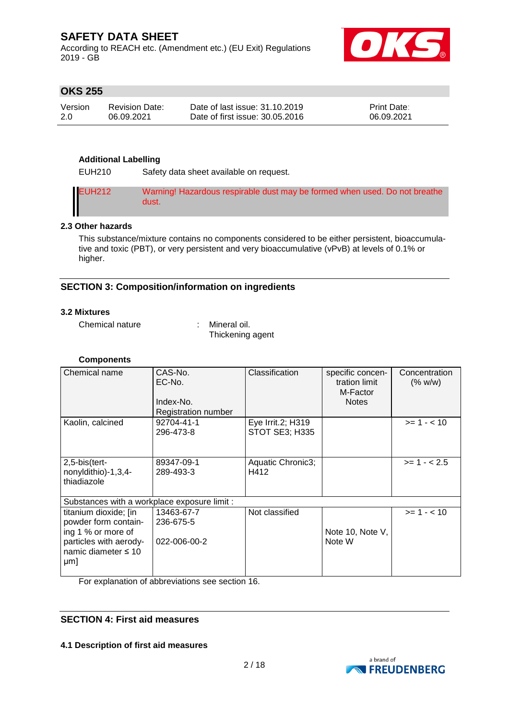According to REACH etc. (Amendment etc.) (EU Exit) Regulations 2019 - GB



## **OKS 255**

| Version | Revision Date: | Date of last issue: 31.10.2019  | <b>Print Date:</b> |
|---------|----------------|---------------------------------|--------------------|
| -2.0    | 06.09.2021     | Date of first issue: 30.05.2016 | 06.09.2021         |

## **Additional Labelling**

EUH210 Safety data sheet available on request.

EUH212 Warning! Hazardous respirable dust may be formed when used. Do not breathe dust.

## **2.3 Other hazards**

This substance/mixture contains no components considered to be either persistent, bioaccumulative and toxic (PBT), or very persistent and very bioaccumulative (vPvB) at levels of 0.1% or higher.

## **SECTION 3: Composition/information on ingredients**

#### **3.2 Mixtures**

Chemical nature : Mineral oil.

Thickening agent

### **Components**

| Chemical name                                                                                                                    | CAS-No.<br>EC-No.<br>Index-No.<br>Registration number | Classification                             | specific concen-<br>tration limit<br>M-Factor<br><b>Notes</b> | Concentration<br>(% w/w) |
|----------------------------------------------------------------------------------------------------------------------------------|-------------------------------------------------------|--------------------------------------------|---------------------------------------------------------------|--------------------------|
| Kaolin, calcined                                                                                                                 | 92704-41-1<br>296-473-8                               | Eye Irrit.2; H319<br><b>STOT SE3; H335</b> |                                                               | $>= 1 - < 10$            |
| $2,5$ -bis $(\text{tert}$ -<br>nonyldithio)-1,3,4-<br>thiadiazole                                                                | 89347-09-1<br>289-493-3                               | Aquatic Chronic3;<br>H412                  |                                                               | $>= 1 - 2.5$             |
| Substances with a workplace exposure limit :                                                                                     |                                                       |                                            |                                                               |                          |
| titanium dioxide; [in<br>powder form contain-<br>ing 1 % or more of<br>particles with aerody-<br>namic diameter $\leq 10$<br>µm] | 13463-67-7<br>236-675-5<br>022-006-00-2               | Not classified                             | Note 10, Note V,<br>Note W                                    | $>= 1 - < 10$            |

For explanation of abbreviations see section 16.

## **SECTION 4: First aid measures**

**4.1 Description of first aid measures**

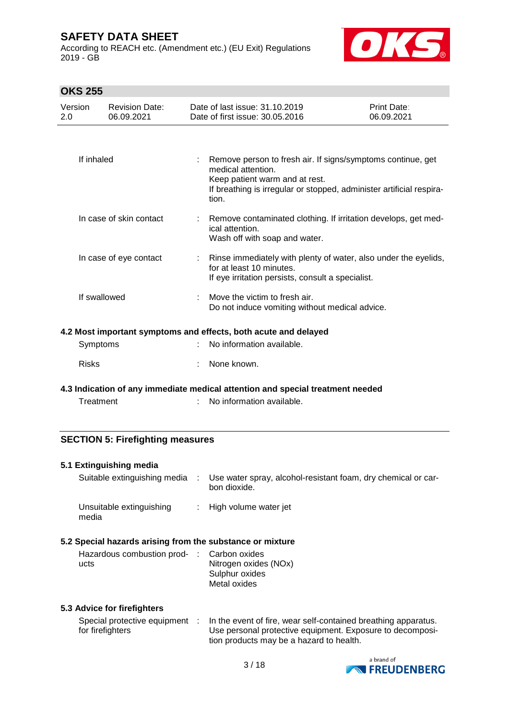According to REACH etc. (Amendment etc.) (EU Exit) Regulations 2019 - GB



## **OKS 255**

| Version<br>2.0 | <b>Revision Date:</b><br>06.09.2021 | Date of last issue: 31.10.2019<br>Date of first issue: 30.05.2016                                                                                                                                    | Print Date:<br>06.09.2021 |
|----------------|-------------------------------------|------------------------------------------------------------------------------------------------------------------------------------------------------------------------------------------------------|---------------------------|
|                |                                     |                                                                                                                                                                                                      |                           |
| If inhaled     |                                     | Remove person to fresh air. If signs/symptoms continue, get<br>medical attention.<br>Keep patient warm and at rest.<br>If breathing is irregular or stopped, administer artificial respira-<br>tion. |                           |
|                | In case of skin contact             | Remove contaminated clothing. If irritation develops, get med-<br>ical attention.<br>Wash off with soap and water.                                                                                   |                           |
|                | In case of eye contact              | Rinse immediately with plenty of water, also under the eyelids,<br>for at least 10 minutes.<br>If eye irritation persists, consult a specialist.                                                     |                           |
|                | If swallowed                        | Move the victim to fresh air.<br>Do not induce vomiting without medical advice.                                                                                                                      |                           |
|                |                                     | 4.2 Most important symptoms and effects, both acute and delayed                                                                                                                                      |                           |
|                | Symptoms                            | No information available.                                                                                                                                                                            |                           |
| Risks          |                                     | None known.                                                                                                                                                                                          |                           |

## **4.3 Indication of any immediate medical attention and special treatment needed**

Treatment : No information available.

## **SECTION 5: Firefighting measures**

### **5.1 Extinguishing media**

| Suitable extinguishing media      | Use water spray, alcohol-resistant foam, dry chemical or car-<br>bon dioxide. |
|-----------------------------------|-------------------------------------------------------------------------------|
| Unsuitable extinguishing<br>media | $\therefore$ High volume water jet                                            |

## **5.2 Special hazards arising from the substance or mixture**

| Hazardous combustion prod- : Carbon oxides |                       |
|--------------------------------------------|-----------------------|
| ucts                                       | Nitrogen oxides (NOx) |
|                                            | Sulphur oxides        |
|                                            | Metal oxides          |

## **5.3 Advice for firefighters**

| Special protective equipment | In the event of fire, wear self-contained breathing apparatus. |
|------------------------------|----------------------------------------------------------------|
| for firefighters             | Use personal protective equipment. Exposure to decomposi-      |
|                              | tion products may be a hazard to health.                       |

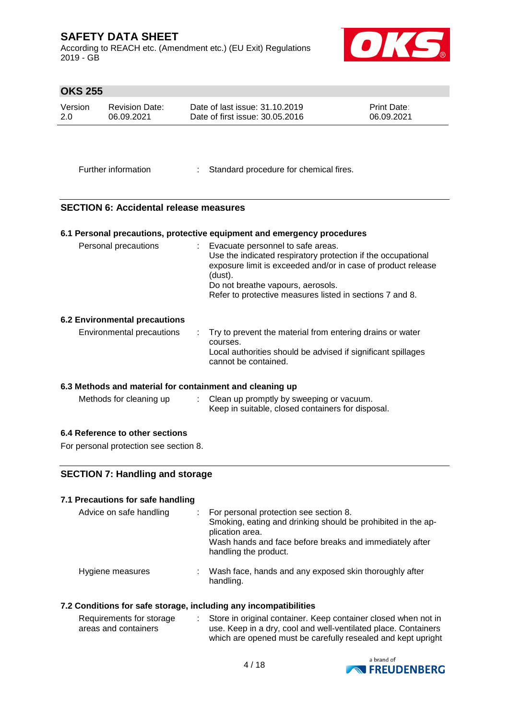According to REACH etc. (Amendment etc.) (EU Exit) Regulations 2019 - GB



## **OKS 255**

| Version | <b>Revision Date:</b> | Date of last issue: 31.10.2019  | <b>Print Date:</b> |
|---------|-----------------------|---------------------------------|--------------------|
| 2.0     | 06.09.2021            | Date of first issue: 30.05.2016 | 06.09.2021         |

Further information : Standard procedure for chemical fires.

#### **SECTION 6: Accidental release measures**

#### **6.1 Personal precautions, protective equipment and emergency procedures**

| Personal precautions | : Evacuate personnel to safe areas.<br>Use the indicated respiratory protection if the occupational<br>exposure limit is exceeded and/or in case of product release<br>(dust). |
|----------------------|--------------------------------------------------------------------------------------------------------------------------------------------------------------------------------|
|                      | Do not breathe vapours, aerosols.<br>Refer to protective measures listed in sections 7 and 8.                                                                                  |

#### **6.2 Environmental precautions**

| Environmental precautions |  | . Try to prevent the material from entering drains or water<br>courses.<br>Local authorities should be advised if significant spillages<br>cannot be contained. |
|---------------------------|--|-----------------------------------------------------------------------------------------------------------------------------------------------------------------|
|---------------------------|--|-----------------------------------------------------------------------------------------------------------------------------------------------------------------|

#### **6.3 Methods and material for containment and cleaning up**

Methods for cleaning up : Clean up promptly by sweeping or vacuum. Keep in suitable, closed containers for disposal.

#### **6.4 Reference to other sections**

For personal protection see section 8.

## **SECTION 7: Handling and storage**

## **7.1 Precautions for safe handling**

| Advice on safe handling | : For personal protection see section 8.<br>Smoking, eating and drinking should be prohibited in the ap-<br>plication area.<br>Wash hands and face before breaks and immediately after<br>handling the product. |
|-------------------------|-----------------------------------------------------------------------------------------------------------------------------------------------------------------------------------------------------------------|
| Hygiene measures        | Wash face, hands and any exposed skin thoroughly after<br>handling.                                                                                                                                             |

## **7.2 Conditions for safe storage, including any incompatibilities**

| Requirements for storage | Store in original container. Keep container closed when not in |
|--------------------------|----------------------------------------------------------------|
| areas and containers     | use. Keep in a dry, cool and well-ventilated place. Containers |
|                          | which are opened must be carefully resealed and kept upright   |

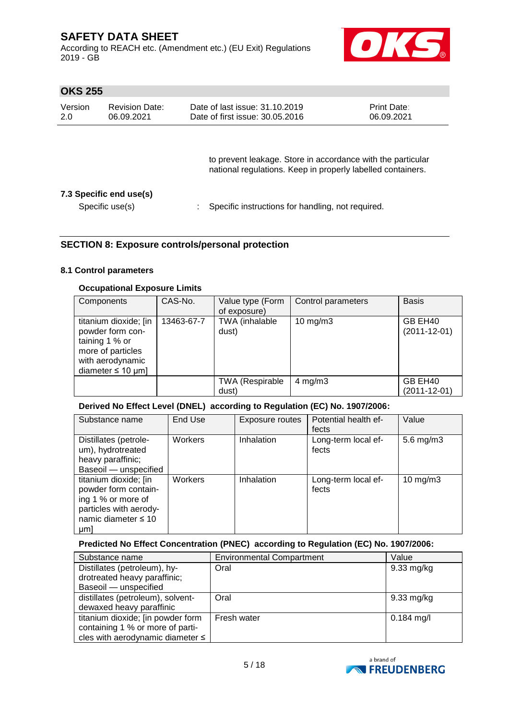According to REACH etc. (Amendment etc.) (EU Exit) Regulations 2019 - GB



## **OKS 255**

| Version | Revision Date: | Date of last issue: 31.10.2019  | <b>Print Date:</b> |
|---------|----------------|---------------------------------|--------------------|
| 2.0     | 06.09.2021     | Date of first issue: 30.05.2016 | 06.09.2021         |

to prevent leakage. Store in accordance with the particular national regulations. Keep in properly labelled containers.

## **7.3 Specific end use(s)**

Specific use(s) : Specific instructions for handling, not required.

## **SECTION 8: Exposure controls/personal protection**

### **8.1 Control parameters**

#### **Occupational Exposure Limits**

| Components                                                                                                                     | CAS-No.    | Value type (Form<br>of exposure) | Control parameters | <b>Basis</b>                  |
|--------------------------------------------------------------------------------------------------------------------------------|------------|----------------------------------|--------------------|-------------------------------|
| titanium dioxide; [in<br>powder form con-<br>taining 1 % or<br>more of particles<br>with aerodynamic<br>diameter $\leq 10$ µm] | 13463-67-7 | TWA (inhalable<br>dust)          | $10$ mg/m $3$      | GB EH40<br>$(2011 - 12 - 01)$ |
|                                                                                                                                |            | <b>TWA (Respirable</b><br>dust)  | $4$ mg/m $3$       | GB EH40<br>$(2011 - 12 - 01)$ |

## **Derived No Effect Level (DNEL) according to Regulation (EC) No. 1907/2006:**

| Substance name                                                                                                                  | End Use | Exposure routes | Potential health ef-<br>fects | Value             |
|---------------------------------------------------------------------------------------------------------------------------------|---------|-----------------|-------------------------------|-------------------|
| Distillates (petrole-<br>um), hydrotreated<br>heavy paraffinic;<br>Baseoil - unspecified                                        | Workers | Inhalation      | Long-term local ef-<br>fects  | 5.6 mg/m $3$      |
| titanium dioxide; [in<br>powder form contain-<br>ing 1 % or more of<br>particles with aerody-<br>namic diameter $\leq 10$<br>µm | Workers | Inhalation      | Long-term local ef-<br>fects  | $10 \text{ mg/m}$ |

## **Predicted No Effect Concentration (PNEC) according to Regulation (EC) No. 1907/2006:**

| Substance name                        | <b>Environmental Compartment</b> | Value                |
|---------------------------------------|----------------------------------|----------------------|
| Distillates (petroleum), hy-          | Oral                             | $9.33 \text{ mg/kg}$ |
| drotreated heavy paraffinic;          |                                  |                      |
| Baseoil - unspecified                 |                                  |                      |
| distillates (petroleum), solvent-     | Oral                             | $9.33 \text{ mg/kg}$ |
| dewaxed heavy paraffinic              |                                  |                      |
| titanium dioxide; [in powder form     | Fresh water                      | $0.184$ mg/l         |
| containing 1 % or more of parti-      |                                  |                      |
| cles with aerodynamic diameter $\leq$ |                                  |                      |

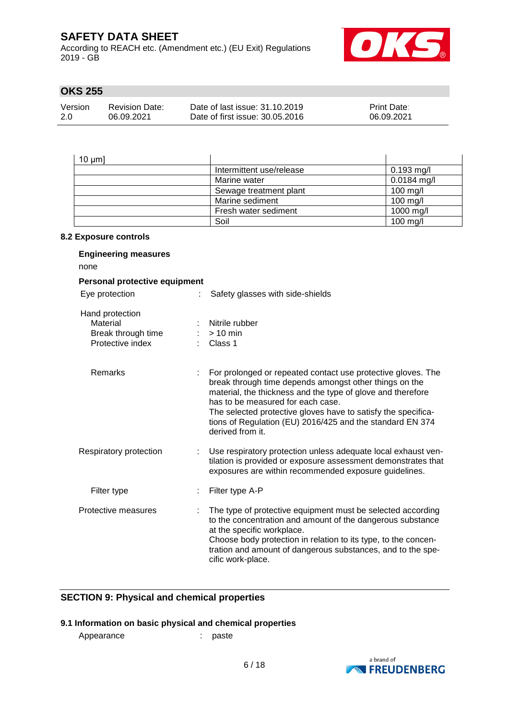According to REACH etc. (Amendment etc.) (EU Exit) Regulations 2019 - GB



# **OKS 255**

| Version | Revision Date: | Date of last issue: 31.10.2019  | <b>Print Date:</b> |
|---------|----------------|---------------------------------|--------------------|
| 2.0     | 06.09.2021     | Date of first issue: 30.05.2016 | 06.09.2021         |

# $10 \mu$

| $10 \mu m$ |                          |                         |
|------------|--------------------------|-------------------------|
|            | Intermittent use/release | $0.193 \,\mathrm{mg/l}$ |
|            | Marine water             | $0.0184$ mg/l           |
|            | Sewage treatment plant   | $100$ mg/l              |
|            | Marine sediment          | $100$ mg/l              |
|            | Fresh water sediment     | 1000 mg/l               |
|            | Soil                     | $100$ mg/l              |

#### **8.2 Exposure controls**

| <b>Engineering measures</b><br>none                                   |                                                                                                                                                                                                                                                                                                                                                                                |
|-----------------------------------------------------------------------|--------------------------------------------------------------------------------------------------------------------------------------------------------------------------------------------------------------------------------------------------------------------------------------------------------------------------------------------------------------------------------|
| Personal protective equipment                                         |                                                                                                                                                                                                                                                                                                                                                                                |
| Eye protection                                                        | Safety glasses with side-shields                                                                                                                                                                                                                                                                                                                                               |
| Hand protection<br>Material<br>Break through time<br>Protective index | Nitrile rubber<br>$> 10$ min<br>: Class 1                                                                                                                                                                                                                                                                                                                                      |
| Remarks                                                               | : For prolonged or repeated contact use protective gloves. The<br>break through time depends amongst other things on the<br>material, the thickness and the type of glove and therefore<br>has to be measured for each case.<br>The selected protective gloves have to satisfy the specifica-<br>tions of Regulation (EU) 2016/425 and the standard EN 374<br>derived from it. |
| Respiratory protection                                                | Use respiratory protection unless adequate local exhaust ven-<br>tilation is provided or exposure assessment demonstrates that<br>exposures are within recommended exposure guidelines.                                                                                                                                                                                        |
| Filter type                                                           | Filter type A-P                                                                                                                                                                                                                                                                                                                                                                |
| Protective measures                                                   | The type of protective equipment must be selected according<br>to the concentration and amount of the dangerous substance<br>at the specific workplace.<br>Choose body protection in relation to its type, to the concen-<br>tration and amount of dangerous substances, and to the spe-<br>cific work-place.                                                                  |

## **SECTION 9: Physical and chemical properties**

## **9.1 Information on basic physical and chemical properties**

Appearance : paste

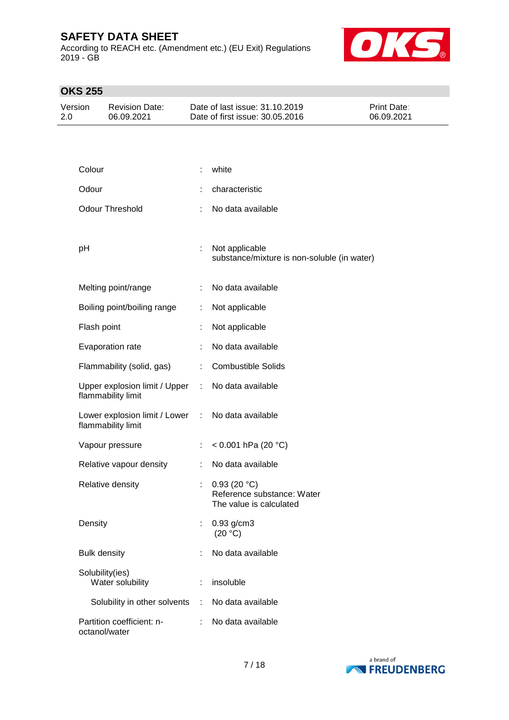According to REACH etc. (Amendment etc.) (EU Exit) Regulations 2019 - GB



## **OKS 255**

| Version<br>2.0 |                     | <b>Revision Date:</b><br>06.09.2021                   |                             | Date of last issue: 31.10.2019<br>Date of first issue: 30.05.2016        | <b>Print Date:</b><br>06.09.2021 |
|----------------|---------------------|-------------------------------------------------------|-----------------------------|--------------------------------------------------------------------------|----------------------------------|
|                |                     |                                                       |                             |                                                                          |                                  |
|                | Colour              |                                                       | ÷.                          | white                                                                    |                                  |
|                | Odour               |                                                       |                             | characteristic                                                           |                                  |
|                |                     | <b>Odour Threshold</b>                                |                             | No data available                                                        |                                  |
|                | pH                  |                                                       |                             | Not applicable<br>substance/mixture is non-soluble (in water)            |                                  |
|                |                     | Melting point/range                                   | ÷.                          | No data available                                                        |                                  |
|                |                     | Boiling point/boiling range                           | ÷.                          | Not applicable                                                           |                                  |
|                | Flash point         |                                                       |                             | Not applicable                                                           |                                  |
|                |                     | Evaporation rate                                      |                             | No data available                                                        |                                  |
|                |                     | Flammability (solid, gas)                             |                             | <b>Combustible Solids</b>                                                |                                  |
|                |                     | Upper explosion limit / Upper<br>flammability limit   | $\mathcal{I}^{\mathcal{I}}$ | No data available                                                        |                                  |
|                |                     | Lower explosion limit / Lower :<br>flammability limit |                             | No data available                                                        |                                  |
|                |                     | Vapour pressure                                       | ÷.                          | < $0.001$ hPa (20 °C)                                                    |                                  |
|                |                     | Relative vapour density                               | ÷.                          | No data available                                                        |                                  |
|                |                     | Relative density                                      |                             | : $0.93(20 °C)$<br>Reference substance: Water<br>The value is calculated |                                  |
|                | Density             |                                                       | ÷.                          | $0.93$ g/cm3<br>(20 °C)                                                  |                                  |
|                | <b>Bulk density</b> |                                                       |                             | No data available                                                        |                                  |
|                | Solubility(ies)     | Water solubility                                      |                             | insoluble                                                                |                                  |
|                |                     | Solubility in other solvents                          | $\mathbb{R}^n$              | No data available                                                        |                                  |
|                | octanol/water       | Partition coefficient: n-                             |                             | No data available                                                        |                                  |

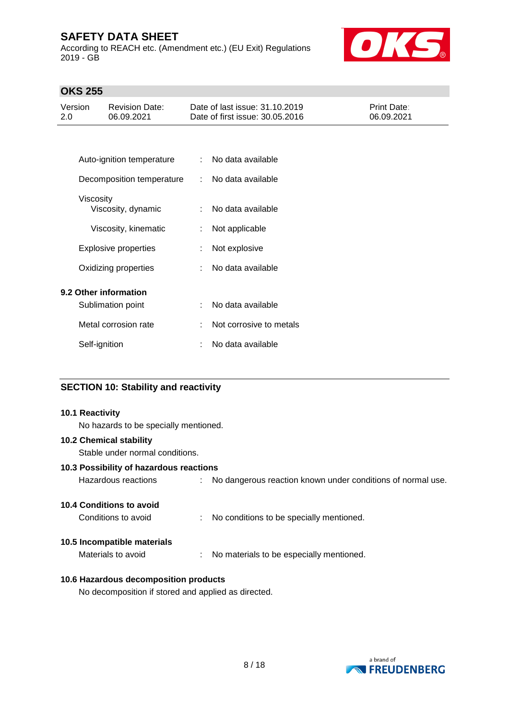According to REACH etc. (Amendment etc.) (EU Exit) Regulations 2019 - GB



## **OKS 255**

| Version | <b>Revision Date:</b> | Date of last issue: 31.10.2019  | <b>Print Date:</b> |
|---------|-----------------------|---------------------------------|--------------------|
| -2.0    | 06.09.2021            | Date of first issue: 30.05.2016 | 06.09.2021         |
|         |                       |                                 |                    |

| .44.0                                         |    |                         |
|-----------------------------------------------|----|-------------------------|
| Decomposition temperature : No data available |    |                         |
| Viscosity<br>Viscosity, dynamic               |    | : No data available     |
| Viscosity, kinematic                          |    | $:$ Not applicable      |
| <b>Explosive properties</b>                   |    | : Not explosive         |
| Oxidizing properties                          |    | : No data available     |
| 9.2 Other information                         |    |                         |
| Sublimation point                             |    | : No data available     |
| Metal corrosion rate                          | t. | Not corrosive to metals |
| Self-ignition                                 |    | No data available       |

Auto-ignition temperature : No data available

## **SECTION 10: Stability and reactivity**

#### **10.1 Reactivity**

No hazards to be specially mentioned.

### **10.2 Chemical stability**

Stable under normal conditions.

## **10.3 Possibility of hazardous reactions**

| Hazardous reactions |  | No dangerous reaction known under conditions of normal use. |
|---------------------|--|-------------------------------------------------------------|
|---------------------|--|-------------------------------------------------------------|

# **10.4 Conditions to avoid**

Conditions to avoid : No conditions to be specially mentioned.

## **10.5 Incompatible materials**

Materials to avoid : No materials to be especially mentioned.

## **10.6 Hazardous decomposition products**

No decomposition if stored and applied as directed.

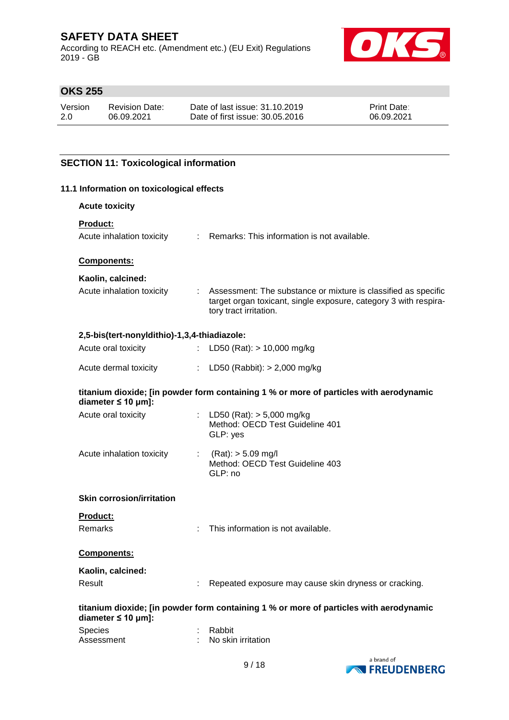According to REACH etc. (Amendment etc.) (EU Exit) Regulations 2019 - GB



## **OKS 255**

| Version | <b>Revision Date:</b> | Date of last issue: 31.10.2019  | <b>Print Date:</b> |
|---------|-----------------------|---------------------------------|--------------------|
| 2.0     | 06.09.2021            | Date of first issue: 30.05.2016 | 06.09.2021         |

## **SECTION 11: Toxicological information**

## **11.1 Information on toxicological effects**

## **Acute toxicity**

## **Product:**

| Acute inhalation toxicity |  | Remarks: This information is not available. |
|---------------------------|--|---------------------------------------------|
|---------------------------|--|---------------------------------------------|

## **Components:**

## **Kaolin, calcined:**

| Acute inhalation toxicity | Assessment: The substance or mixture is classified as specific   |
|---------------------------|------------------------------------------------------------------|
|                           | target organ toxicant, single exposure, category 3 with respira- |
|                           | tory tract irritation.                                           |

#### **2,5-bis(tert-nonyldithio)-1,3,4-thiadiazole:**

| Acute oral toxicity | : LD50 (Rat): $> 10,000$ mg/kg |  |
|---------------------|--------------------------------|--|
|                     |                                |  |

### **titanium dioxide; [in powder form containing 1 % or more of particles with aerodynamic diameter ≤ 10 μm]:**

| Acute oral toxicity       | : LD50 (Rat): $>$ 5,000 mg/kg<br>Method: OECD Test Guideline 401<br>GLP: yes |
|---------------------------|------------------------------------------------------------------------------|
| Acute inhalation toxicity | $(Rat):$ > 5.09 mg/l<br>Method: OECD Test Guideline 403<br>GLP: no           |

#### **Skin corrosion/irritation**

| <b>Product:</b> |  |
|-----------------|--|
|                 |  |

Remarks : This information is not available.

#### **Components:**

| Kaolin, calcined: |                                                         |
|-------------------|---------------------------------------------------------|
| Result            | : Repeated exposure may cause skin dryness or cracking. |

### **titanium dioxide; [in powder form containing 1 % or more of particles with aerodynamic diameter ≤ 10 μm]:**

| Species    | : Rabbit           |
|------------|--------------------|
| Assessment | No skin irritation |

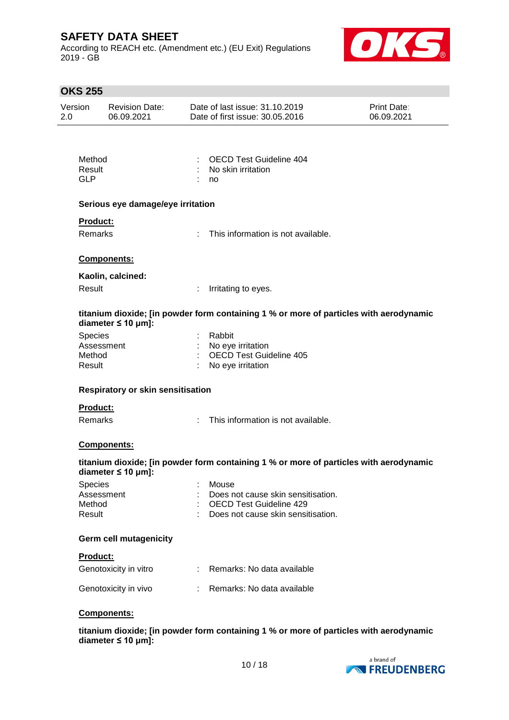According to REACH etc. (Amendment etc.) (EU Exit) Regulations 2019 - GB



## **OKS 255**

| Version | <b>Revision Date:</b> | Date of last issue: 31.10.2019  | <b>Print Date:</b> |
|---------|-----------------------|---------------------------------|--------------------|
| 2.0     | 06.09.2021            | Date of first issue: 30.05.2016 | 06.09.2021         |

| Method | : OECD Test Guideline 404 |
|--------|---------------------------|
| Result | : No skin irritation      |
| GI P   | : no                      |

#### **Serious eye damage/eye irritation**

#### **Product:**

Remarks : This information is not available.

#### **Components:**

#### **Kaolin, calcined:**

Result : Irritating to eyes.

#### **titanium dioxide; [in powder form containing 1 % or more of particles with aerodynamic diameter ≤ 10 μm]:**

| <b>Species</b> | : Rabbit                  |
|----------------|---------------------------|
| Assessment     | : No eye irritation       |
| Method         | : OECD Test Guideline 405 |
| Result         | : No eye irritation       |

## **Respiratory or skin sensitisation**

#### **Product:**

Remarks : This information is not available.

## **Components:**

#### **titanium dioxide; [in powder form containing 1 % or more of particles with aerodynamic diameter ≤ 10 μm]:**

| <b>Species</b> | : Mouse                              |
|----------------|--------------------------------------|
| Assessment     | : Does not cause skin sensitisation. |
| Method         | : OECD Test Guideline 429            |
| Result         | : Does not cause skin sensitisation. |

### **Germ cell mutagenicity**

### **Product:**

| Genotoxicity in vitro | Remarks: No data available |
|-----------------------|----------------------------|
| Genotoxicity in vivo  | Remarks: No data available |

#### **Components:**

**titanium dioxide; [in powder form containing 1 % or more of particles with aerodynamic diameter ≤ 10 μm]:**

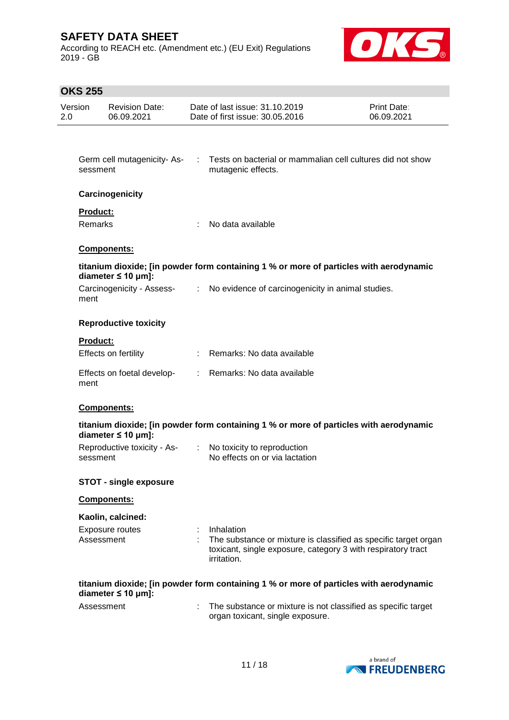According to REACH etc. (Amendment etc.) (EU Exit) Regulations 2019 - GB



# **OKS 255**

| 2.0 | Version                    | <b>Revision Date:</b><br>06.09.2021 |            | Date of last issue: 31.10.2019<br>Date of first issue: 30.05.2016                                                                                            | Print Date:<br>06.09.2021 |
|-----|----------------------------|-------------------------------------|------------|--------------------------------------------------------------------------------------------------------------------------------------------------------------|---------------------------|
|     | sessment                   | Germ cell mutagenicity-As-          | $\sim 100$ | Tests on bacterial or mammalian cell cultures did not show<br>mutagenic effects.                                                                             |                           |
|     |                            | Carcinogenicity                     |            |                                                                                                                                                              |                           |
|     | <b>Product:</b><br>Remarks |                                     | ÷          | No data available                                                                                                                                            |                           |
|     |                            | Components:                         |            |                                                                                                                                                              |                           |
|     |                            | diameter $\leq 10$ µm]:             |            | titanium dioxide; [in powder form containing 1 % or more of particles with aerodynamic                                                                       |                           |
|     | ment                       | Carcinogenicity - Assess- :         |            | No evidence of carcinogenicity in animal studies.                                                                                                            |                           |
|     |                            | <b>Reproductive toxicity</b>        |            |                                                                                                                                                              |                           |
|     | Product:                   | Effects on fertility                |            | Remarks: No data available                                                                                                                                   |                           |
|     | ment                       | Effects on foetal develop-          | ÷.         | Remarks: No data available                                                                                                                                   |                           |
|     |                            | Components:                         |            |                                                                                                                                                              |                           |
|     |                            | diameter $\leq 10$ µm]:             |            | titanium dioxide; [in powder form containing 1 % or more of particles with aerodynamic                                                                       |                           |
|     | sessment                   | Reproductive toxicity - As-         |            | : No toxicity to reproduction<br>No effects on or via lactation                                                                                              |                           |
|     |                            | <b>STOT - single exposure</b>       |            |                                                                                                                                                              |                           |
|     |                            | Components:                         |            |                                                                                                                                                              |                           |
|     |                            | Kaolin, calcined:                   |            |                                                                                                                                                              |                           |
|     | Assessment                 | <b>Exposure routes</b>              |            | Inhalation<br>The substance or mixture is classified as specific target organ<br>toxicant, single exposure, category 3 with respiratory tract<br>irritation. |                           |
|     |                            | diameter $\leq 10$ µm]:             |            | titanium dioxide; [in powder form containing 1 % or more of particles with aerodynamic                                                                       |                           |
|     | Assessment                 |                                     | ÷          | The substance or mixture is not classified as specific target<br>organ toxicant, single exposure.                                                            |                           |
|     |                            |                                     |            |                                                                                                                                                              |                           |

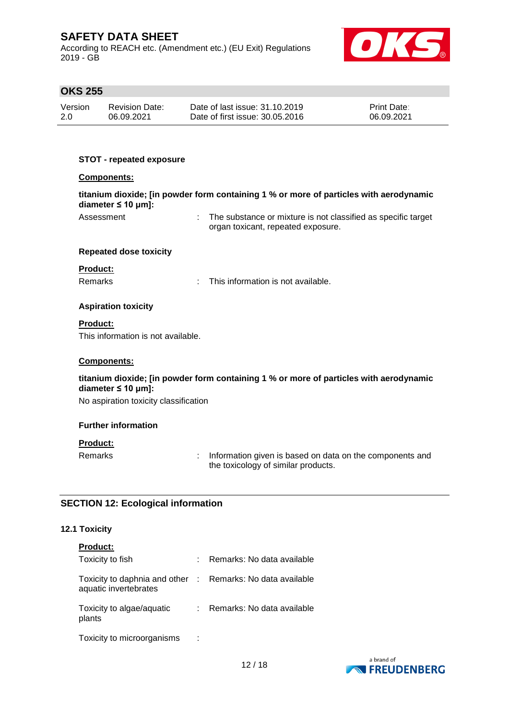According to REACH etc. (Amendment etc.) (EU Exit) Regulations 2019 - GB



## **OKS 255**

| Version | <b>Revision Date:</b> | Date of last issue: 31.10.2019  | <b>Print Date:</b> |
|---------|-----------------------|---------------------------------|--------------------|
| 2.0     | 06.09.2021            | Date of first issue: 30.05.2016 | 06.09.2021         |

### **STOT - repeated exposure**

#### **Components:**

| titanium dioxide; [in powder form containing 1 % or more of particles with aerodynamic |  |
|----------------------------------------------------------------------------------------|--|
| diameter $\leq 10 \mu m$ ]:                                                            |  |

Assessment : The substance or mixture is not classified as specific target organ toxicant, repeated exposure.

#### **Repeated dose toxicity**

#### **Product:**

Remarks : This information is not available.

#### **Aspiration toxicity**

#### **Product:**

This information is not available.

## **Components:**

### **titanium dioxide; [in powder form containing 1 % or more of particles with aerodynamic diameter ≤ 10 μm]:**

No aspiration toxicity classification

#### **Further information**

#### **Product:**

Remarks : Information given is based on data on the components and the toxicology of similar products.

## **SECTION 12: Ecological information**

## **12.1 Toxicity**

| <b>Product:</b>                                                                     |   |                              |
|-------------------------------------------------------------------------------------|---|------------------------------|
| Toxicity to fish                                                                    |   | Remarks: No data available   |
| Toxicity to daphnia and other : Remarks: No data available<br>aquatic invertebrates |   |                              |
| Toxicity to algae/aquatic<br>plants                                                 |   | : Remarks: No data available |
| Toxicity to microorganisms                                                          | ÷ |                              |

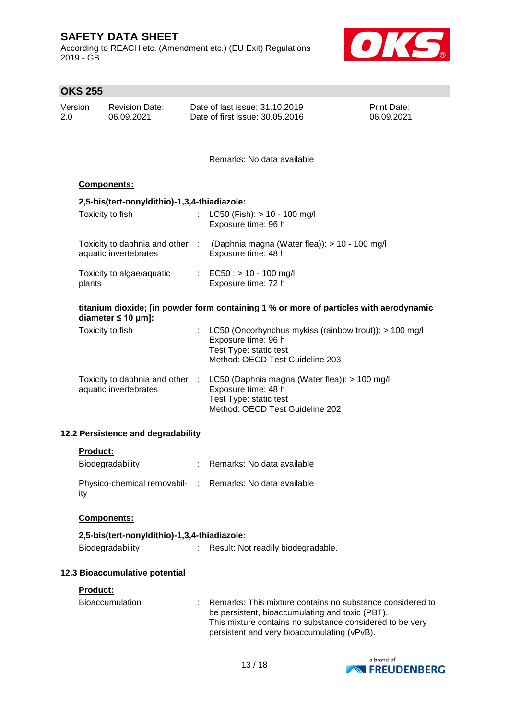According to REACH etc. (Amendment etc.) (EU Exit) Regulations 2019 - GB



## **OKS 255**

| Version | <b>Revision Date:</b> | Date of last issue: 31.10.2019  | <b>Print Date:</b> |
|---------|-----------------------|---------------------------------|--------------------|
| 2.0     | 06.09.2021            | Date of first issue: 30.05.2016 | 06.09.2021         |

Remarks: No data available

## **Components:**

#### **2,5-bis(tert-nonyldithio)-1,3,4-thiadiazole:**

| Toxicity to fish                                       |      | : LC50 (Fish): $> 10 - 100$ mg/l<br>Exposure time: 96 h              |
|--------------------------------------------------------|------|----------------------------------------------------------------------|
| Toxicity to daphnia and other<br>aquatic invertebrates | - 11 | (Daphnia magna (Water flea)): > 10 - 100 mg/l<br>Exposure time: 48 h |
| Toxicity to algae/aquatic<br>plants                    |      | $\therefore$ EC50 : > 10 - 100 mg/l<br>Exposure time: 72 h           |

### **titanium dioxide; [in powder form containing 1 % or more of particles with aerodynamic diameter ≤ 10 μm]:**

| Toxicity to fish                                       |                | LC50 (Oncorhynchus mykiss (rainbow trout)): $> 100$ mg/l<br>Exposure time: 96 h<br>Test Type: static test<br>Method: OECD Test Guideline 203 |
|--------------------------------------------------------|----------------|----------------------------------------------------------------------------------------------------------------------------------------------|
| Toxicity to daphnia and other<br>aquatic invertebrates | <b>COLLEGE</b> | LC50 (Daphnia magna (Water flea)): > 100 mg/l<br>Exposure time: 48 h<br>Test Type: static test<br>Method: OECD Test Guideline 202            |

## **12.2 Persistence and degradability**

## **Product:**

| Biodegradability                                                | Remarks: No data available |
|-----------------------------------------------------------------|----------------------------|
| Physico-chemical removabil- : Remarks: No data available<br>ity |                            |

## **Components:**

| 2,5-bis(tert-nonyldithio)-1,3,4-thiadiazole: |                                    |
|----------------------------------------------|------------------------------------|
| Biodegradability                             | Result: Not readily biodegradable. |

## **12.3 Bioaccumulative potential**

| <b>Product:</b>        |                                                                                                                                                                                                                           |
|------------------------|---------------------------------------------------------------------------------------------------------------------------------------------------------------------------------------------------------------------------|
| <b>Bioaccumulation</b> | : Remarks: This mixture contains no substance considered to<br>be persistent, bioaccumulating and toxic (PBT).<br>This mixture contains no substance considered to be very<br>persistent and very bioaccumulating (vPvB). |

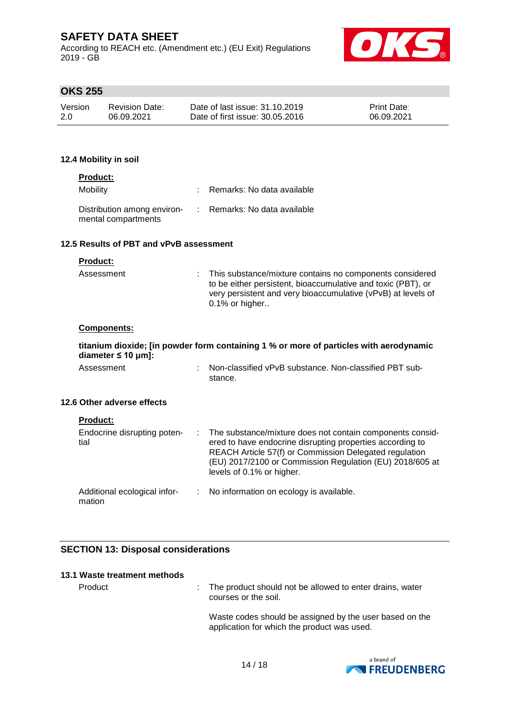According to REACH etc. (Amendment etc.) (EU Exit) Regulations 2019 - GB



## **OKS 255**

| Version | Revision Date: | Date of last issue: 31.10.2019  | <b>Print Date:</b> |
|---------|----------------|---------------------------------|--------------------|
| 2.0     | 06.09.2021     | Date of first issue: 30.05.2016 | 06.09.2021         |

### **12.4 Mobility in soil**

## **Product:**

| Mobility                                           | : Remarks: No data available |
|----------------------------------------------------|------------------------------|
| Distribution among environ-<br>mental compartments | : Remarks: No data available |

## **12.5 Results of PBT and vPvB assessment**

| <b>Product:</b>                        |                                                                                                                                                                                                                                                                             |
|----------------------------------------|-----------------------------------------------------------------------------------------------------------------------------------------------------------------------------------------------------------------------------------------------------------------------------|
| Assessment                             | : This substance/mixture contains no components considered<br>to be either persistent, bioaccumulative and toxic (PBT), or<br>very persistent and very bioaccumulative (vPvB) at levels of<br>0.1% or higher                                                                |
| <b>Components:</b>                     |                                                                                                                                                                                                                                                                             |
| diameter $\leq 10 \mu m$ ]:            | titanium dioxide; [in powder form containing 1 % or more of particles with aerodynamic                                                                                                                                                                                      |
| Assessment                             | - Non-classified vPvB substance, Non-classified PBT sub-<br>stance.                                                                                                                                                                                                         |
| 12.6 Other adverse effects             |                                                                                                                                                                                                                                                                             |
| <b>Product:</b>                        |                                                                                                                                                                                                                                                                             |
| Endocrine disrupting poten-<br>tial    | : The substance/mixture does not contain components consid-<br>ered to have endocrine disrupting properties according to<br>REACH Article 57(f) or Commission Delegated regulation<br>(EU) 2017/2100 or Commission Regulation (EU) 2018/605 at<br>levels of 0.1% or higher. |
| Additional ecological infor-<br>mation | No information on ecology is available.                                                                                                                                                                                                                                     |

## **SECTION 13: Disposal considerations**

| 13.1 Waste treatment methods |                                                                                    |
|------------------------------|------------------------------------------------------------------------------------|
| Product                      | . The product should not be allowed to enter drains, water<br>courses or the soil. |

Waste codes should be assigned by the user based on the application for which the product was used.

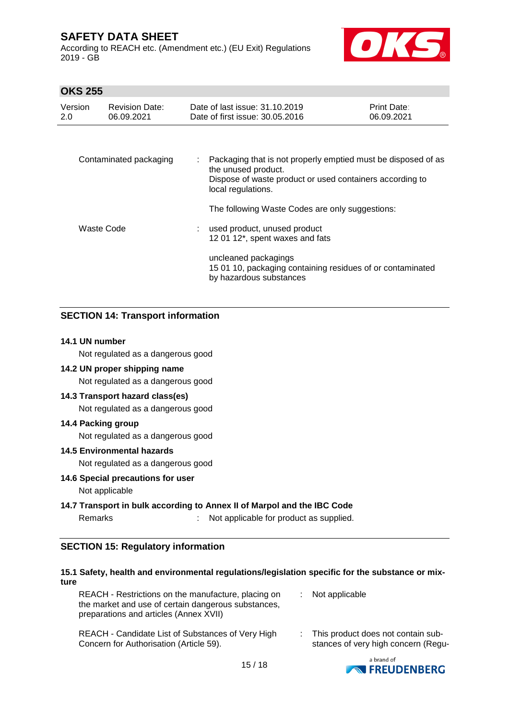According to REACH etc. (Amendment etc.) (EU Exit) Regulations 2019 - GB



## **OKS 255**

| Version<br>2.0 | <b>Revision Date:</b><br>06.09.2021 |     | Date of last issue: 31.10.2019<br>Date of first issue: 30.05.2016                                                                                                      | <b>Print Date:</b><br>06.09.2021 |
|----------------|-------------------------------------|-----|------------------------------------------------------------------------------------------------------------------------------------------------------------------------|----------------------------------|
|                |                                     |     |                                                                                                                                                                        |                                  |
|                | Contaminated packaging              | t i | Packaging that is not properly emptied must be disposed of as<br>the unused product.<br>Dispose of waste product or used containers according to<br>local regulations. |                                  |
|                |                                     |     | The following Waste Codes are only suggestions:                                                                                                                        |                                  |
| Waste Code     |                                     |     | used product, unused product<br>12 01 12*, spent waxes and fats                                                                                                        |                                  |
|                |                                     |     | uncleaned packagings<br>15 01 10, packaging containing residues of or contaminated<br>by hazardous substances                                                          |                                  |

## **SECTION 14: Transport information**

#### **14.1 UN number**

Not regulated as a dangerous good

## **14.2 UN proper shipping name**

Not regulated as a dangerous good

#### **14.3 Transport hazard class(es)**

Not regulated as a dangerous good

#### **14.4 Packing group**

Not regulated as a dangerous good

#### **14.5 Environmental hazards**

Not regulated as a dangerous good

## **14.6 Special precautions for user**

## Not applicable

## **14.7 Transport in bulk according to Annex II of Marpol and the IBC Code**

Remarks : Not applicable for product as supplied.

## **SECTION 15: Regulatory information**

## **15.1 Safety, health and environmental regulations/legislation specific for the substance or mixture**

| REACH - Restrictions on the manufacture, placing on | : Not applicable |
|-----------------------------------------------------|------------------|
| the market and use of certain dangerous substances, |                  |
| preparations and articles (Annex XVII)              |                  |

| REACH - Candidate List of Substances of Very High | This product does not contain sub-  |
|---------------------------------------------------|-------------------------------------|
| Concern for Authorisation (Article 59).           | stances of very high concern (Regu- |

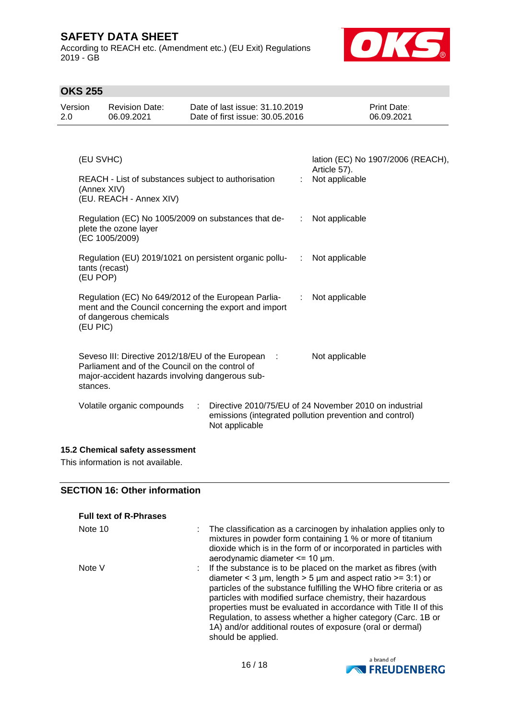According to REACH etc. (Amendment etc.) (EU Exit) Regulations 2019 - GB



## **OKS 255**

| Version | <b>Revision Date:</b> | Date of last issue: 31.10.2019  | <b>Print Date:</b> |
|---------|-----------------------|---------------------------------|--------------------|
| 2.0     | 06.09.2021            | Date of first issue: 30.05.2016 | 06.09.2021         |

| (EU SVHC)                                                                                                                                                               |                | lation (EC) No 1907/2006 (REACH),<br>Article 57). |  |
|-------------------------------------------------------------------------------------------------------------------------------------------------------------------------|----------------|---------------------------------------------------|--|
| REACH - List of substances subject to authorisation<br>(Annex XIV)<br>(EU. REACH - Annex XIV)                                                                           | t.             | Not applicable                                    |  |
| Regulation (EC) No 1005/2009 on substances that de- : Not applicable<br>plete the ozone layer<br>(EC 1005/2009)                                                         |                |                                                   |  |
| Regulation (EU) 2019/1021 on persistent organic pollu-<br><br>tants (recast)<br>(EU POP)                                                                                |                | Not applicable                                    |  |
| Regulation (EC) No 649/2012 of the European Parlia-<br>ment and the Council concerning the export and import<br>of dangerous chemicals<br>(EU PIC)                      | ÷              | Not applicable                                    |  |
| Seveso III: Directive 2012/18/EU of the European :<br>Parliament and of the Council on the control of<br>major-accident hazards involving dangerous sub-<br>stances.    | Not applicable |                                                   |  |
| Directive 2010/75/EU of 24 November 2010 on industrial<br>Volatile organic compounds<br>÷.<br>emissions (integrated pollution prevention and control)<br>Not applicable |                |                                                   |  |

#### **15.2 Chemical safety assessment**

This information is not available.

## **SECTION 16: Other information**

| <b>Full text of R-Phrases</b> |                                                                                                                                                                                                                                                                                                                                                                                                                                                                                                     |
|-------------------------------|-----------------------------------------------------------------------------------------------------------------------------------------------------------------------------------------------------------------------------------------------------------------------------------------------------------------------------------------------------------------------------------------------------------------------------------------------------------------------------------------------------|
| Note 10                       | : The classification as a carcinogen by inhalation applies only to<br>mixtures in powder form containing 1 % or more of titanium<br>dioxide which is in the form of or incorporated in particles with<br>aerodynamic diameter $\leq$ 10 µm.                                                                                                                                                                                                                                                         |
| Note V                        | : If the substance is to be placed on the market as fibres (with<br>diameter < 3 $\mu$ m, length > 5 $\mu$ m and aspect ratio >= 3:1) or<br>particles of the substance fulfilling the WHO fibre criteria or as<br>particles with modified surface chemistry, their hazardous<br>properties must be evaluated in accordance with Title II of this<br>Regulation, to assess whether a higher category (Carc. 1B or<br>1A) and/or additional routes of exposure (oral or dermal)<br>should be applied. |

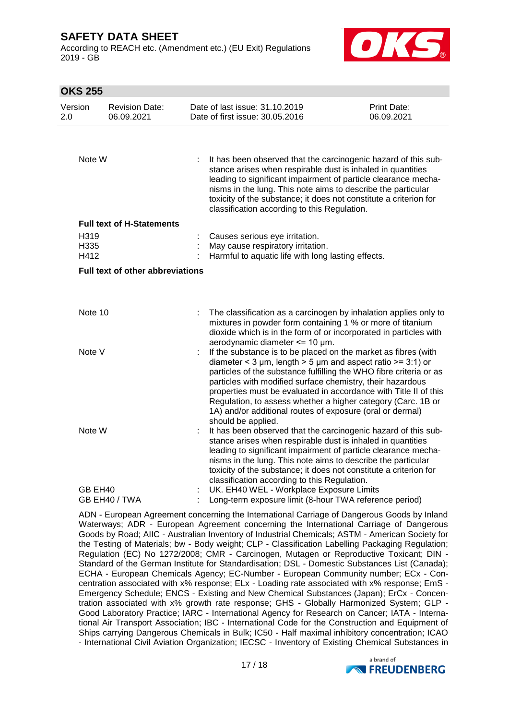According to REACH etc. (Amendment etc.) (EU Exit) Regulations 2019 - GB



## **OKS 255**

| Version<br>2.0       | <b>Revision Date:</b><br>06.09.2021     | Date of last issue: 31.10.2019<br>Date of first issue: 30.05.2016                                                                                                                                                                                                                                                                                                                                                                                                           | <b>Print Date:</b><br>06.09.2021 |
|----------------------|-----------------------------------------|-----------------------------------------------------------------------------------------------------------------------------------------------------------------------------------------------------------------------------------------------------------------------------------------------------------------------------------------------------------------------------------------------------------------------------------------------------------------------------|----------------------------------|
| Note W               |                                         | It has been observed that the carcinogenic hazard of this sub-<br>stance arises when respirable dust is inhaled in quantities<br>leading to significant impairment of particle clearance mecha-<br>nisms in the lung. This note aims to describe the particular<br>toxicity of the substance; it does not constitute a criterion for                                                                                                                                        |                                  |
|                      |                                         | classification according to this Regulation.                                                                                                                                                                                                                                                                                                                                                                                                                                |                                  |
| H319<br>H335<br>H412 | <b>Full text of H-Statements</b>        | Causes serious eye irritation.<br>May cause respiratory irritation.<br>Harmful to aquatic life with long lasting effects.                                                                                                                                                                                                                                                                                                                                                   |                                  |
|                      | <b>Full text of other abbreviations</b> |                                                                                                                                                                                                                                                                                                                                                                                                                                                                             |                                  |
|                      |                                         |                                                                                                                                                                                                                                                                                                                                                                                                                                                                             |                                  |
| Note 10              |                                         | The classification as a carcinogen by inhalation applies only to<br>mixtures in powder form containing 1 % or more of titanium<br>dioxide which is in the form of or incorporated in particles with<br>aerodynamic diameter <= 10 µm.                                                                                                                                                                                                                                       |                                  |
| Note V               |                                         | If the substance is to be placed on the market as fibres (with<br>diameter < 3 $\mu$ m, length > 5 $\mu$ m and aspect ratio >= 3:1) or<br>particles of the substance fulfilling the WHO fibre criteria or as<br>particles with modified surface chemistry, their hazardous<br>properties must be evaluated in accordance with Title II of this<br>Regulation, to assess whether a higher category (Carc. 1B or<br>1A) and/or additional routes of exposure (oral or dermal) |                                  |
| Note W               |                                         | should be applied.<br>It has been observed that the carcinogenic hazard of this sub-<br>stance arises when respirable dust is inhaled in quantities<br>leading to significant impairment of particle clearance mecha-<br>nisms in the lung. This note aims to describe the particular<br>toxicity of the substance; it does not constitute a criterion for<br>classification according to this Regulation.                                                                  |                                  |
| GB EH40              | GB EH40 / TWA                           | UK. EH40 WEL - Workplace Exposure Limits<br>Long-term exposure limit (8-hour TWA reference period)                                                                                                                                                                                                                                                                                                                                                                          |                                  |

ADN - European Agreement concerning the International Carriage of Dangerous Goods by Inland Waterways; ADR - European Agreement concerning the International Carriage of Dangerous Goods by Road; AIIC - Australian Inventory of Industrial Chemicals; ASTM - American Society for the Testing of Materials; bw - Body weight; CLP - Classification Labelling Packaging Regulation; Regulation (EC) No 1272/2008; CMR - Carcinogen, Mutagen or Reproductive Toxicant; DIN - Standard of the German Institute for Standardisation; DSL - Domestic Substances List (Canada); ECHA - European Chemicals Agency; EC-Number - European Community number; ECx - Concentration associated with x% response; ELx - Loading rate associated with x% response; EmS - Emergency Schedule; ENCS - Existing and New Chemical Substances (Japan); ErCx - Concentration associated with x% growth rate response; GHS - Globally Harmonized System; GLP - Good Laboratory Practice; IARC - International Agency for Research on Cancer; IATA - International Air Transport Association; IBC - International Code for the Construction and Equipment of Ships carrying Dangerous Chemicals in Bulk; IC50 - Half maximal inhibitory concentration; ICAO - International Civil Aviation Organization; IECSC - Inventory of Existing Chemical Substances in